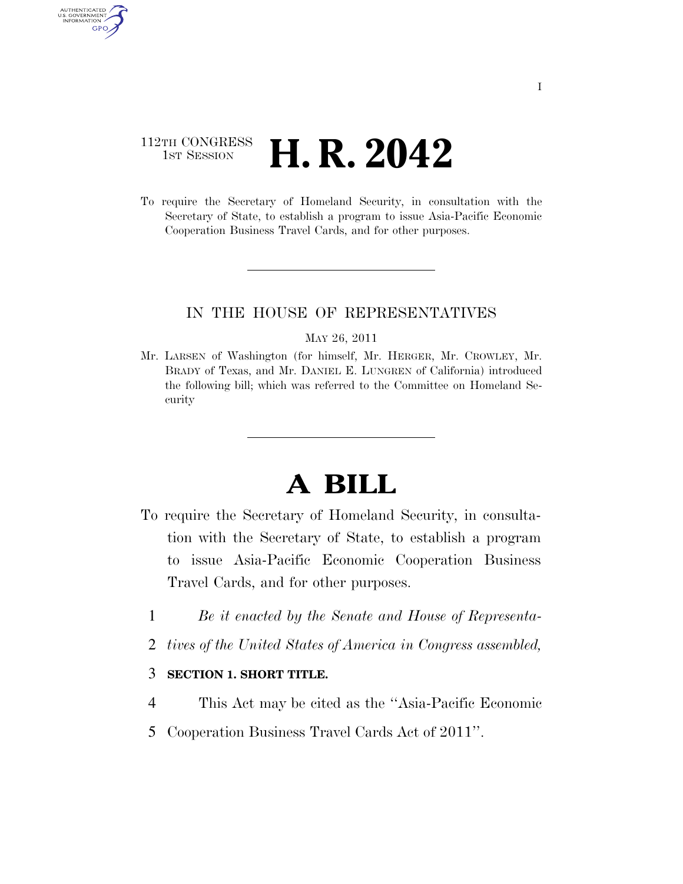### 112TH CONGRESS **1st Session H. R. 2042**

AUTHENTICATED U.S. GOVERNMENT **GPO** 

> To require the Secretary of Homeland Security, in consultation with the Secretary of State, to establish a program to issue Asia-Pacific Economic Cooperation Business Travel Cards, and for other purposes.

### IN THE HOUSE OF REPRESENTATIVES

#### MAY 26, 2011

Mr. LARSEN of Washington (for himself, Mr. HERGER, Mr. CROWLEY, Mr. BRADY of Texas, and Mr. DANIEL E. LUNGREN of California) introduced the following bill; which was referred to the Committee on Homeland Security

# **A BILL**

- To require the Secretary of Homeland Security, in consultation with the Secretary of State, to establish a program to issue Asia-Pacific Economic Cooperation Business Travel Cards, and for other purposes.
	- 1 *Be it enacted by the Senate and House of Representa-*
	- 2 *tives of the United States of America in Congress assembled,*

### 3 **SECTION 1. SHORT TITLE.**

- 4 This Act may be cited as the ''Asia-Pacific Economic
- 5 Cooperation Business Travel Cards Act of 2011''.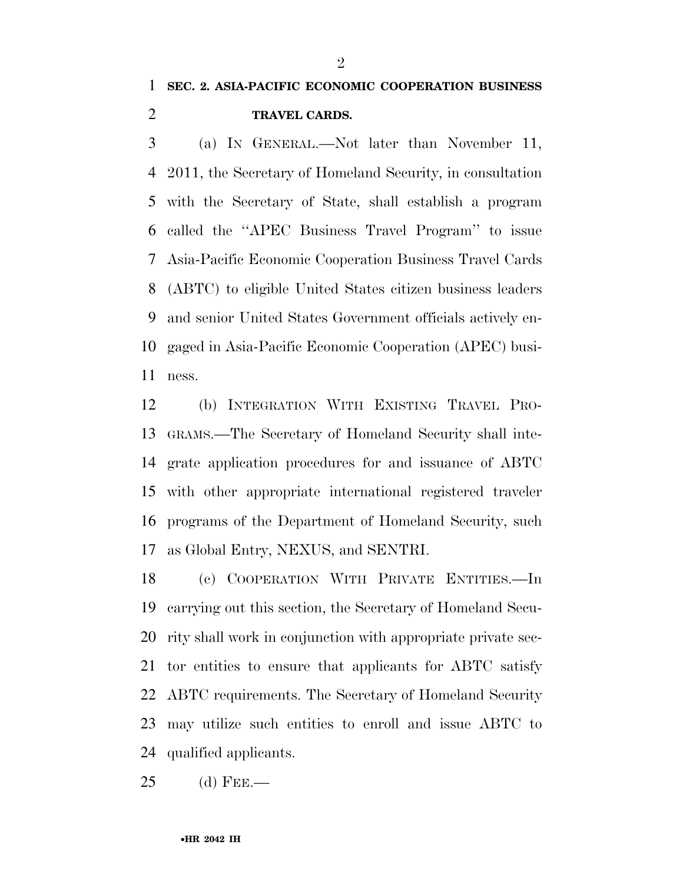## **SEC. 2. ASIA-PACIFIC ECONOMIC COOPERATION BUSINESS TRAVEL CARDS.**

 (a) IN GENERAL.—Not later than November 11, 2011, the Secretary of Homeland Security, in consultation with the Secretary of State, shall establish a program called the ''APEC Business Travel Program'' to issue Asia-Pacific Economic Cooperation Business Travel Cards (ABTC) to eligible United States citizen business leaders and senior United States Government officials actively en- gaged in Asia-Pacific Economic Cooperation (APEC) busi-ness.

 (b) INTEGRATION WITH EXISTING TRAVEL PRO- GRAMS.—The Secretary of Homeland Security shall inte- grate application procedures for and issuance of ABTC with other appropriate international registered traveler programs of the Department of Homeland Security, such as Global Entry, NEXUS, and SENTRI.

 (c) COOPERATION WITH PRIVATE ENTITIES.—In carrying out this section, the Secretary of Homeland Secu- rity shall work in conjunction with appropriate private sec- tor entities to ensure that applicants for ABTC satisfy ABTC requirements. The Secretary of Homeland Security may utilize such entities to enroll and issue ABTC to qualified applicants.

(d) FEE.—